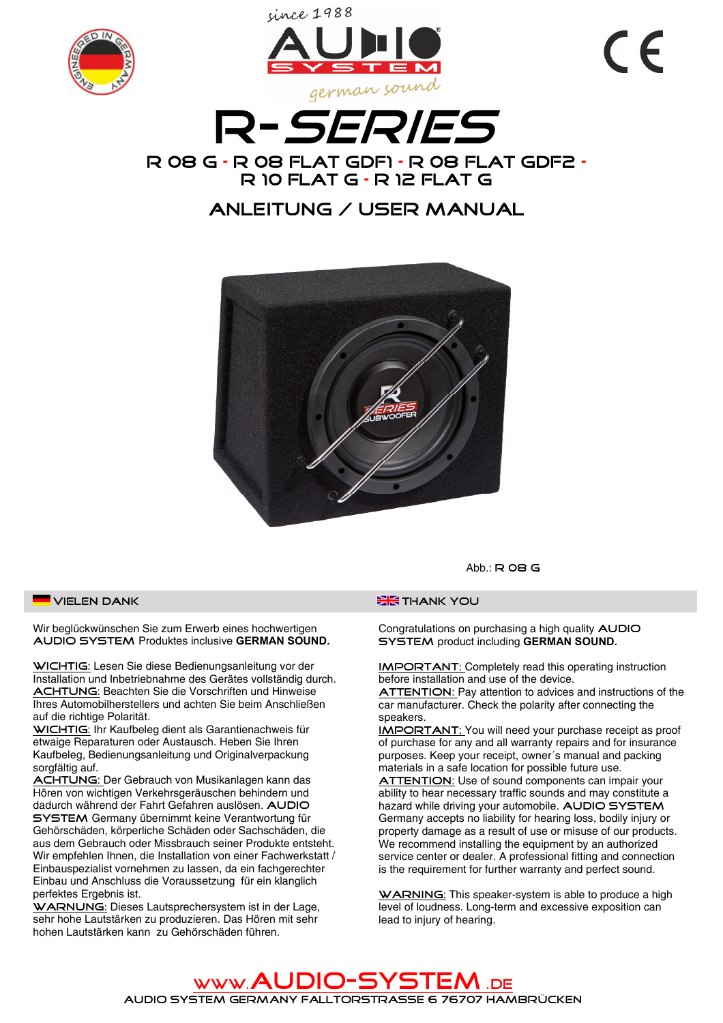





## **ANLEITUNG / USER MANUAL**



VIELEN DANK

Wir beglückwünschen Sie zum Erwerb eines hochwertigen AUDIO SYSTEM Produktes inclusive GERMAN SOUND.

WICHTIG: Lesen Sie diese Bedienungsanleitung vor der Installation und Inbetriebnahme des Gerätes vollständig durch. ACHTUNG: Beachten Sie die Vorschriften und Hinweise Ihres Automobilherstellers und achten Sie beim Anschließen auf die richtige Polarität.

WICHTIG: Ihr Kaufbeleg dient als Garantienachweis für etwaige Reparaturen oder Austausch. Heben Sie Ihren Kaufbeleg, Bedienungsanleitung und Originalverpackung sorgfältig auf.

ACHTUNG: Der Gebrauch von Musikanlagen kann das Hören von wichtigen Verkehrsgeräuschen behindern und dadurch während der Fahrt Gefahren auslösen. AUDIO **SYSTEM** Germany übernimmt keine Verantwortung für Gehörschäden, körperliche Schäden oder Sachschäden, die aus dem Gebrauch oder Missbrauch seiner Produkte entsteht. Wir empfehlen Ihnen, die Installation von einer Fachwerkstatt / Einbauspezialist vornehmen zu lassen, da ein fachgerechter Einbau und Anschluss die Voraussetzung für ein klanglich perfektes Ergebnis ist.

WARNUNG: Dieses Lautsprechersystem ist in der Lage, sehr hohe Lautstärken zu produzieren. Das Hören mit sehr hohen Lautstärken kann zu Gehörschäden führen.

Abb.:  $R$  OB G

## **EK** THANK YOU

Congratulations on purchasing a high quality AUDIO SYSTEM product including GERMAN SOUND.

**IMPORTANT:** Completely read this operating instruction before installation and use of the device.

**ATTENTION:** Pay attention to advices and instructions of the car manufacturer. Check the polarity after connecting the sneakers

**IMPORTANT:** You will need your purchase receipt as proof of purchase for any and all warranty repairs and for insurance purposes. Keep your receipt, owner's manual and packing materials in a safe location for possible future use.

**ATTENTION:** Use of sound components can impair your ability to hear necessary traffic sounds and may constitute a hazard while driving your automobile. AUDIO SYSTEM Germany accepts no liability for hearing loss, bodily injury or property damage as a result of use or misuse of our products. We recommend installing the equipment by an authorized service center or dealer. A professional fitting and connection is the requirement for further warranty and perfect sound.

WARNING: This speaker-system is able to produce a high level of loudness. Long-term and excessive exposition can lead to injury of hearing.